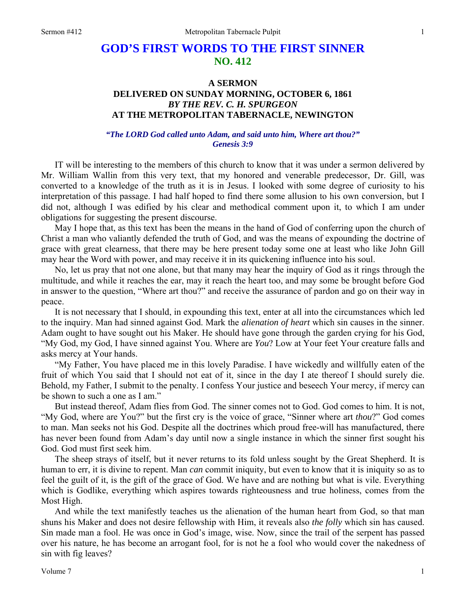## **GOD'S FIRST WORDS TO THE FIRST SINNER NO. 412**

## **A SERMON DELIVERED ON SUNDAY MORNING, OCTOBER 6, 1861**  *BY THE REV. C. H. SPURGEON*  **AT THE METROPOLITAN TABERNACLE, NEWINGTON**

## *"The LORD God called unto Adam, and said unto him, Where art thou?" Genesis 3:9*

IT will be interesting to the members of this church to know that it was under a sermon delivered by Mr. William Wallin from this very text, that my honored and venerable predecessor, Dr. Gill, was converted to a knowledge of the truth as it is in Jesus. I looked with some degree of curiosity to his interpretation of this passage. I had half hoped to find there some allusion to his own conversion, but I did not, although I was edified by his clear and methodical comment upon it, to which I am under obligations for suggesting the present discourse.

May I hope that, as this text has been the means in the hand of God of conferring upon the church of Christ a man who valiantly defended the truth of God, and was the means of expounding the doctrine of grace with great clearness, that there may be here present today some one at least who like John Gill may hear the Word with power, and may receive it in its quickening influence into his soul.

No, let us pray that not one alone, but that many may hear the inquiry of God as it rings through the multitude, and while it reaches the ear, may it reach the heart too, and may some be brought before God in answer to the question, "Where art thou?" and receive the assurance of pardon and go on their way in peace.

It is not necessary that I should, in expounding this text, enter at all into the circumstances which led to the inquiry. Man had sinned against God. Mark the *alienation of heart* which sin causes in the sinner. Adam ought to have sought out his Maker. He should have gone through the garden crying for his God, "My God, my God, I have sinned against You. Where are *You*? Low at Your feet Your creature falls and asks mercy at Your hands.

"My Father, You have placed me in this lovely Paradise. I have wickedly and willfully eaten of the fruit of which You said that I should not eat of it, since in the day I ate thereof I should surely die. Behold, my Father, I submit to the penalty. I confess Your justice and beseech Your mercy, if mercy can be shown to such a one as I am."

But instead thereof, Adam flies from God. The sinner comes not to God. God comes to him. It is not, "My God, where are You?" but the first cry is the voice of grace, "Sinner where art *thou*?" God comes to man. Man seeks not his God. Despite all the doctrines which proud free-will has manufactured, there has never been found from Adam's day until now a single instance in which the sinner first sought his God. God must first seek him.

The sheep strays of itself, but it never returns to its fold unless sought by the Great Shepherd. It is human to err, it is divine to repent. Man *can* commit iniquity, but even to know that it is iniquity so as to feel the guilt of it, is the gift of the grace of God. We have and are nothing but what is vile. Everything which is Godlike, everything which aspires towards righteousness and true holiness, comes from the Most High.

And while the text manifestly teaches us the alienation of the human heart from God, so that man shuns his Maker and does not desire fellowship with Him, it reveals also *the folly* which sin has caused. Sin made man a fool. He was once in God's image, wise. Now, since the trail of the serpent has passed over his nature, he has become an arrogant fool, for is not he a fool who would cover the nakedness of sin with fig leaves?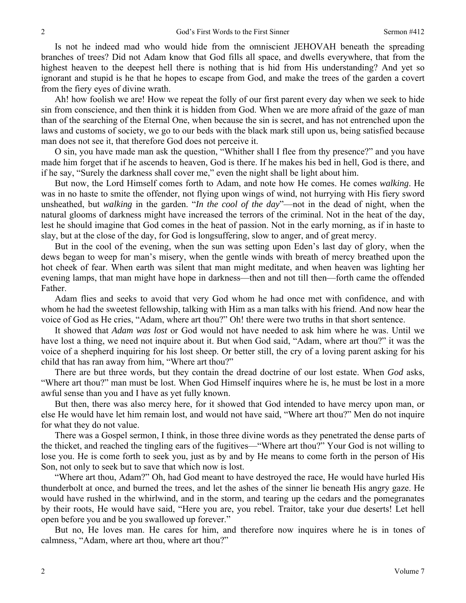Is not he indeed mad who would hide from the omniscient JEHOVAH beneath the spreading branches of trees? Did not Adam know that God fills all space, and dwells everywhere, that from the highest heaven to the deepest hell there is nothing that is hid from His understanding? And yet so ignorant and stupid is he that he hopes to escape from God, and make the trees of the garden a covert from the fiery eyes of divine wrath.

Ah! how foolish we are! How we repeat the folly of our first parent every day when we seek to hide sin from conscience, and then think it is hidden from God. When we are more afraid of the gaze of man than of the searching of the Eternal One, when because the sin is secret, and has not entrenched upon the laws and customs of society, we go to our beds with the black mark still upon us, being satisfied because man does not see it, that therefore God does not perceive it.

O sin, you have made man ask the question, "Whither shall I flee from thy presence?" and you have made him forget that if he ascends to heaven, God is there. If he makes his bed in hell, God is there, and if he say, "Surely the darkness shall cover me," even the night shall be light about him.

But now, the Lord Himself comes forth to Adam, and note how He comes. He comes *walking*. He was in no haste to smite the offender, not flying upon wings of wind, not hurrying with His fiery sword unsheathed, but *walking* in the garden. "*In the cool of the day*"—not in the dead of night, when the natural glooms of darkness might have increased the terrors of the criminal. Not in the heat of the day, lest he should imagine that God comes in the heat of passion. Not in the early morning, as if in haste to slay, but at the close of the day, for God is longsuffering, slow to anger, and of great mercy.

But in the cool of the evening, when the sun was setting upon Eden's last day of glory, when the dews began to weep for man's misery, when the gentle winds with breath of mercy breathed upon the hot cheek of fear. When earth was silent that man might meditate, and when heaven was lighting her evening lamps, that man might have hope in darkness—then and not till then—forth came the offended Father.

Adam flies and seeks to avoid that very God whom he had once met with confidence, and with whom he had the sweetest fellowship, talking with Him as a man talks with his friend. And now hear the voice of God as He cries, "Adam, where art thou?" Oh! there were two truths in that short sentence.

It showed that *Adam was lost* or God would not have needed to ask him where he was. Until we have lost a thing, we need not inquire about it. But when God said, "Adam, where art thou?" it was the voice of a shepherd inquiring for his lost sheep. Or better still, the cry of a loving parent asking for his child that has ran away from him, "Where art thou?"

There are but three words, but they contain the dread doctrine of our lost estate. When *God* asks, "Where art thou?" man must be lost. When God Himself inquires where he is, he must be lost in a more awful sense than you and I have as yet fully known.

But then, there was also mercy here, for it showed that God intended to have mercy upon man, or else He would have let him remain lost, and would not have said, "Where art thou?" Men do not inquire for what they do not value.

There was a Gospel sermon, I think, in those three divine words as they penetrated the dense parts of the thicket, and reached the tingling ears of the fugitives—"Where art thou?" Your God is not willing to lose you. He is come forth to seek you, just as by and by He means to come forth in the person of His Son, not only to seek but to save that which now is lost.

"Where art thou, Adam?" Oh, had God meant to have destroyed the race, He would have hurled His thunderbolt at once, and burned the trees, and let the ashes of the sinner lie beneath His angry gaze. He would have rushed in the whirlwind, and in the storm, and tearing up the cedars and the pomegranates by their roots, He would have said, "Here you are, you rebel. Traitor, take your due deserts! Let hell open before you and be you swallowed up forever."

But no, He loves man. He cares for him, and therefore now inquires where he is in tones of calmness, "Adam, where art thou, where art thou?"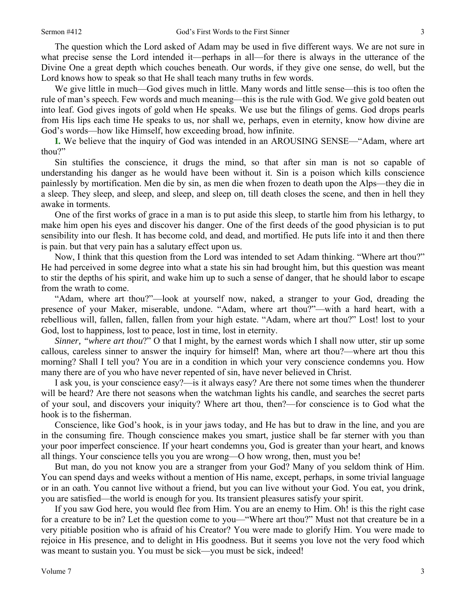The question which the Lord asked of Adam may be used in five different ways. We are not sure in what precise sense the Lord intended it—perhaps in all—for there is always in the utterance of the Divine One a great depth which couches beneath. Our words, if they give one sense, do well, but the Lord knows how to speak so that He shall teach many truths in few words.

We give little in much—God gives much in little. Many words and little sense—this is too often the rule of man's speech. Few words and much meaning—this is the rule with God. We give gold beaten out into leaf. God gives ingots of gold when He speaks. We use but the filings of gems. God drops pearls from His lips each time He speaks to us, nor shall we, perhaps, even in eternity, know how divine are God's words—how like Himself, how exceeding broad, how infinite.

**I.** We believe that the inquiry of God was intended in an AROUSING SENSE—"Adam, where art thou?"

Sin stultifies the conscience, it drugs the mind, so that after sin man is not so capable of understanding his danger as he would have been without it. Sin is a poison which kills conscience painlessly by mortification. Men die by sin, as men die when frozen to death upon the Alps—they die in a sleep. They sleep, and sleep, and sleep, and sleep on, till death closes the scene, and then in hell they awake in torments.

One of the first works of grace in a man is to put aside this sleep, to startle him from his lethargy, to make him open his eyes and discover his danger. One of the first deeds of the good physician is to put sensibility into our flesh. It has become cold, and dead, and mortified. He puts life into it and then there is pain. but that very pain has a salutary effect upon us.

Now, I think that this question from the Lord was intended to set Adam thinking. "Where art thou?" He had perceived in some degree into what a state his sin had brought him, but this question was meant to stir the depths of his spirit, and wake him up to such a sense of danger, that he should labor to escape from the wrath to come.

"Adam, where art thou?"—look at yourself now, naked, a stranger to your God, dreading the presence of your Maker, miserable, undone. "Adam, where art thou?"—with a hard heart, with a rebellious will, fallen, fallen, fallen from your high estate. "Adam, where art thou?" Lost! lost to your God, lost to happiness, lost to peace, lost in time, lost in eternity.

*Sinner, "where art thou*?" O that I might, by the earnest words which I shall now utter, stir up some callous, careless sinner to answer the inquiry for himself! Man, where art thou?—where art thou this morning? Shall I tell you? You are in a condition in which your very conscience condemns you. How many there are of you who have never repented of sin, have never believed in Christ.

I ask you, is your conscience easy?—is it always easy? Are there not some times when the thunderer will be heard? Are there not seasons when the watchman lights his candle, and searches the secret parts of your soul, and discovers your iniquity? Where art thou, then?—for conscience is to God what the hook is to the fisherman.

Conscience, like God's hook, is in your jaws today, and He has but to draw in the line, and you are in the consuming fire. Though conscience makes you smart, justice shall be far sterner with you than your poor imperfect conscience. If your heart condemns you, God is greater than your heart, and knows all things. Your conscience tells you you are wrong—O how wrong, then, must you be!

But man, do you not know you are a stranger from your God? Many of you seldom think of Him. You can spend days and weeks without a mention of His name, except, perhaps, in some trivial language or in an oath. You cannot live without a friend, but you can live without your God. You eat, you drink, you are satisfied—the world is enough for you. Its transient pleasures satisfy your spirit.

If you saw God here, you would flee from Him. You are an enemy to Him. Oh! is this the right case for a creature to be in? Let the question come to you—"Where art thou?" Must not that creature be in a very pitiable position who is afraid of his Creator? You were made to glorify Him. You were made to rejoice in His presence, and to delight in His goodness. But it seems you love not the very food which was meant to sustain you. You must be sick—you must be sick, indeed!

3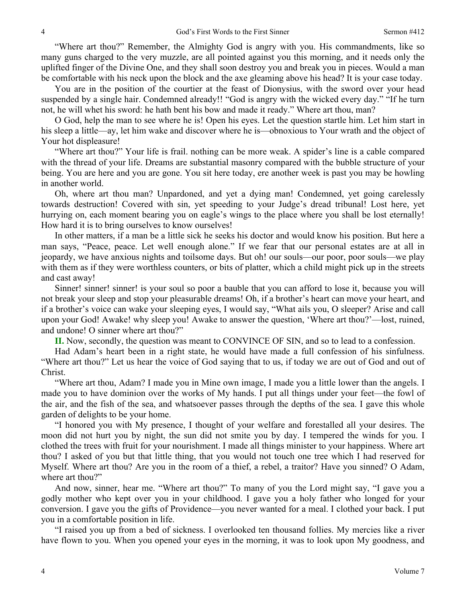"Where art thou?" Remember, the Almighty God is angry with you. His commandments, like so many guns charged to the very muzzle, are all pointed against you this morning, and it needs only the uplifted finger of the Divine One, and they shall soon destroy you and break you in pieces. Would a man be comfortable with his neck upon the block and the axe gleaming above his head? It is your case today.

You are in the position of the courtier at the feast of Dionysius, with the sword over your head suspended by a single hair. Condemned already!! "God is angry with the wicked every day." "If he turn not, he will whet his sword: he hath bent his bow and made it ready." Where art thou, man?

O God, help the man to see where he is! Open his eyes. Let the question startle him. Let him start in his sleep a little—ay, let him wake and discover where he is—obnoxious to Your wrath and the object of Your hot displeasure!

"Where art thou?" Your life is frail. nothing can be more weak. A spider's line is a cable compared with the thread of your life. Dreams are substantial masonry compared with the bubble structure of your being. You are here and you are gone. You sit here today, ere another week is past you may be howling in another world.

Oh, where art thou man? Unpardoned, and yet a dying man! Condemned, yet going carelessly towards destruction! Covered with sin, yet speeding to your Judge's dread tribunal! Lost here, yet hurrying on, each moment bearing you on eagle's wings to the place where you shall be lost eternally! How hard it is to bring ourselves to know ourselves!

In other matters, if a man be a little sick he seeks his doctor and would know his position. But here a man says, "Peace, peace. Let well enough alone." If we fear that our personal estates are at all in jeopardy, we have anxious nights and toilsome days. But oh! our souls—our poor, poor souls—we play with them as if they were worthless counters, or bits of platter, which a child might pick up in the streets and cast away!

Sinner! sinner! sinner! is your soul so poor a bauble that you can afford to lose it, because you will not break your sleep and stop your pleasurable dreams! Oh, if a brother's heart can move your heart, and if a brother's voice can wake your sleeping eyes, I would say, "What ails you, O sleeper? Arise and call upon your God! Awake! why sleep you! Awake to answer the question, 'Where art thou?'—lost, ruined, and undone! O sinner where art thou?"

**II.** Now, secondly, the question was meant to CONVINCE OF SIN, and so to lead to a confession.

Had Adam's heart been in a right state, he would have made a full confession of his sinfulness. "Where art thou?" Let us hear the voice of God saying that to us, if today we are out of God and out of Christ.

"Where art thou, Adam? I made you in Mine own image, I made you a little lower than the angels. I made you to have dominion over the works of My hands. I put all things under your feet—the fowl of the air, and the fish of the sea, and whatsoever passes through the depths of the sea. I gave this whole garden of delights to be your home.

"I honored you with My presence, I thought of your welfare and forestalled all your desires. The moon did not hurt you by night, the sun did not smite you by day. I tempered the winds for you. I clothed the trees with fruit for your nourishment. I made all things minister to your happiness. Where art thou? I asked of you but that little thing, that you would not touch one tree which I had reserved for Myself. Where art thou? Are you in the room of a thief, a rebel, a traitor? Have you sinned? O Adam, where art thou?"

And now, sinner, hear me. "Where art thou?" To many of you the Lord might say, "I gave you a godly mother who kept over you in your childhood. I gave you a holy father who longed for your conversion. I gave you the gifts of Providence—you never wanted for a meal. I clothed your back. I put you in a comfortable position in life.

"I raised you up from a bed of sickness. I overlooked ten thousand follies. My mercies like a river have flown to you. When you opened your eyes in the morning, it was to look upon My goodness, and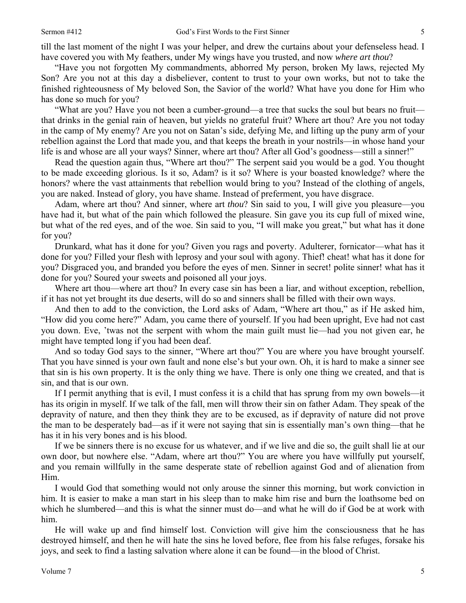till the last moment of the night I was your helper, and drew the curtains about your defenseless head. I have covered you with My feathers, under My wings have you trusted, and now *where art thou*?

"Have you not forgotten My commandments, abhorred My person, broken My laws, rejected My Son? Are you not at this day a disbeliever, content to trust to your own works, but not to take the finished righteousness of My beloved Son, the Savior of the world? What have you done for Him who has done so much for you?

"What are you? Have you not been a cumber-ground—a tree that sucks the soul but bears no fruit that drinks in the genial rain of heaven, but yields no grateful fruit? Where art thou? Are you not today in the camp of My enemy? Are you not on Satan's side, defying Me, and lifting up the puny arm of your rebellion against the Lord that made you, and that keeps the breath in your nostrils—in whose hand your life is and whose are all your ways? Sinner, where art thou? After all God's goodness—still a sinner!"

Read the question again thus, "Where art thou?" The serpent said you would be a god. You thought to be made exceeding glorious. Is it so, Adam? is it so? Where is your boasted knowledge? where the honors? where the vast attainments that rebellion would bring to you? Instead of the clothing of angels, you are naked. Instead of glory, you have shame. Instead of preferment, you have disgrace.

Adam, where art thou? And sinner, where art *thou*? Sin said to you, I will give you pleasure—you have had it, but what of the pain which followed the pleasure. Sin gave you its cup full of mixed wine, but what of the red eyes, and of the woe. Sin said to you, "I will make you great," but what has it done for you?

Drunkard, what has it done for you? Given you rags and poverty. Adulterer, fornicator—what has it done for you? Filled your flesh with leprosy and your soul with agony. Thief! cheat! what has it done for you? Disgraced you, and branded you before the eyes of men. Sinner in secret! polite sinner! what has it done for you? Soured your sweets and poisoned all your joys.

Where art thou—where art thou? In every case sin has been a liar, and without exception, rebellion, if it has not yet brought its due deserts, will do so and sinners shall be filled with their own ways.

And then to add to the conviction, the Lord asks of Adam, "Where art thou," as if He asked him, "How did you come here?" Adam, you came there of yourself. If you had been upright, Eve had not cast you down. Eve, 'twas not the serpent with whom the main guilt must lie—had you not given ear, he might have tempted long if you had been deaf.

And so today God says to the sinner, "Where art thou?" You are where you have brought yourself. That you have sinned is your own fault and none else's but your own. Oh, it is hard to make a sinner see that sin is his own property. It is the only thing we have. There is only one thing we created, and that is sin, and that is our own.

If I permit anything that is evil, I must confess it is a child that has sprung from my own bowels—it has its origin in myself. If we talk of the fall, men will throw their sin on father Adam. They speak of the depravity of nature, and then they think they are to be excused, as if depravity of nature did not prove the man to be desperately bad—as if it were not saying that sin is essentially man's own thing—that he has it in his very bones and is his blood.

If we be sinners there is no excuse for us whatever, and if we live and die so, the guilt shall lie at our own door, but nowhere else. "Adam, where art thou?" You are where you have willfully put yourself, and you remain willfully in the same desperate state of rebellion against God and of alienation from Him.

I would God that something would not only arouse the sinner this morning, but work conviction in him. It is easier to make a man start in his sleep than to make him rise and burn the loathsome bed on which he slumbered—and this is what the sinner must do—and what he will do if God be at work with him.

He will wake up and find himself lost. Conviction will give him the consciousness that he has destroyed himself, and then he will hate the sins he loved before, flee from his false refuges, forsake his joys, and seek to find a lasting salvation where alone it can be found—in the blood of Christ.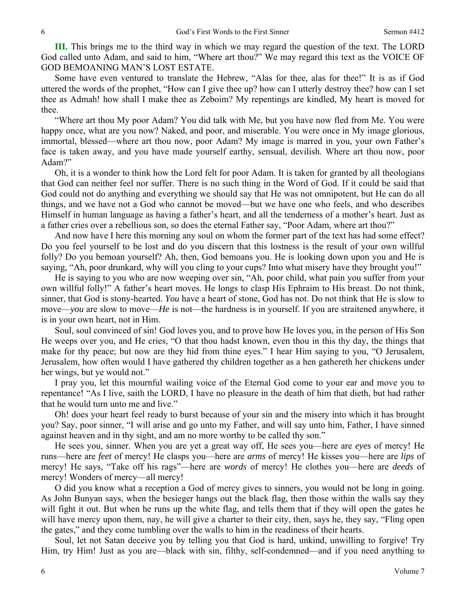**III.** This brings me to the third way in which we may regard the question of the text. The LORD God called unto Adam, and said to him, "Where art thou?" We may regard this text as the VOICE OF GOD BEMOANING MAN'S LOST ESTATE.

Some have even ventured to translate the Hebrew, "Alas for thee, alas for thee!" It is as if God uttered the words of the prophet, "How can I give thee up? how can I utterly destroy thee? how can I set thee as Admah! how shall I make thee as Zeboim? My repentings are kindled, My heart is moved for thee.

"Where art thou My poor Adam? You did talk with Me, but you have now fled from Me. You were happy once, what are you now? Naked, and poor, and miserable. You were once in My image glorious, immortal, blessed—where art thou now, poor Adam? My image is marred in you, your own Father's face is taken away, and you have made yourself earthy, sensual, devilish. Where art thou now, poor Adam?"

Oh, it is a wonder to think how the Lord felt for poor Adam. It is taken for granted by all theologians that God can neither feel nor suffer. There is no such thing in the Word of God. If it could be said that God could not do anything and everything we should say that He was not omnipotent, but He can do all things, and we have not a God who cannot be moved—but we have one who feels, and who describes Himself in human language as having a father's heart, and all the tenderness of a mother's heart. Just as a father cries over a rebellious son, so does the eternal Father say, "Poor Adam, where art thou?"

And now have I here this morning any soul on whom the former part of the text has had some effect? Do you feel yourself to be lost and do you discern that this lostness is the result of your own willful folly? Do you bemoan yourself? Ah, then, God bemoans you. He is looking down upon you and He is saying, "Ah, poor drunkard, why will you cling to your cups? Into what misery have they brought you!"

He is saying to you who are now weeping over sin, "Ah, poor child, what pain you suffer from your own willful folly!" A father's heart moves. He longs to clasp His Ephraim to His breast. Do not think, sinner, that God is stony-hearted. *You* have a heart of stone, God has not. Do not think that He is slow to move—*you* are slow to move—*He* is not—the hardness is in yourself. If you are straitened anywhere, it is in your own heart, not in Him.

Soul, soul convinced of sin! God loves you, and to prove how He loves you, in the person of His Son He weeps over you, and He cries, "O that thou hadst known, even thou in this thy day, the things that make for thy peace; but now are they hid from thine eyes." I hear Him saying to you, "O Jerusalem, Jerusalem, how often would I have gathered thy children together as a hen gathereth her chickens under her wings, but ye would not."

I pray you, let this mournful wailing voice of the Eternal God come to your ear and move you to repentance! "As I live, saith the LORD, I have no pleasure in the death of him that dieth, but had rather that he would turn unto me and live."

Oh! does your heart feel ready to burst because of your sin and the misery into which it has brought you? Say, poor sinner, "I will arise and go unto my Father, and will say unto him, Father, I have sinned against heaven and in thy sight, and am no more worthy to be called thy son."

He sees you, sinner. When you are yet a great way off, He sees you—here are *eyes* of mercy! He runs—here are *feet* of mercy! He clasps you—here are *arms* of mercy! He kisses you—here are *lips* of mercy! He says, "Take off his rags"—here are *words* of mercy! He clothes you—here are *deeds* of mercy! Wonders of mercy—all mercy!

O did you know what a reception a God of mercy gives to sinners, you would not be long in going. As John Bunyan says, when the besieger hangs out the black flag, then those within the walls say they will fight it out. But when he runs up the white flag, and tells them that if they will open the gates he will have mercy upon them, nay, he will give a charter to their city, then, says he, they say, "Fling open" the gates," and they come tumbling over the walls to him in the readiness of their hearts.

Soul, let not Satan deceive you by telling you that God is hard, unkind, unwilling to forgive! Try Him, try Him! Just as you are—black with sin, filthy, self-condemned—and if you need anything to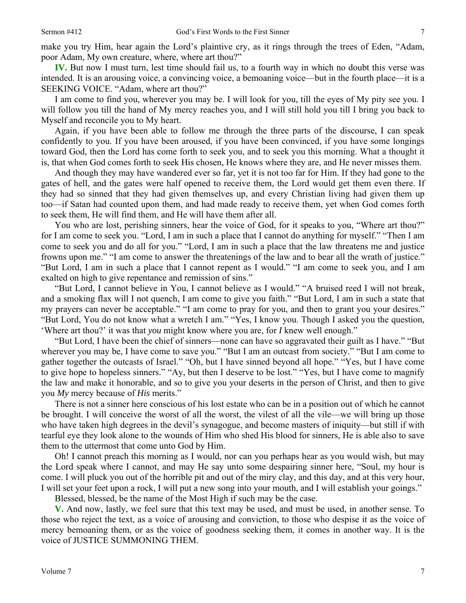make you try Him, hear again the Lord's plaintive cry, as it rings through the trees of Eden, "Adam, poor Adam, My own creature, where, where art thou?"

**IV.** But now I must turn, lest time should fail us, to a fourth way in which no doubt this verse was intended. It is an arousing voice, a convincing voice, a bemoaning voice—but in the fourth place—it is a SEEKING VOICE. "Adam, where art thou?"

I am come to find you, wherever you may be. I will look for you, till the eyes of My pity see you. I will follow you till the hand of My mercy reaches you, and I will still hold you till I bring you back to Myself and reconcile you to My heart.

Again, if you have been able to follow me through the three parts of the discourse, I can speak confidently to you. If you have been aroused, if you have been convinced, if you have some longings toward God, then the Lord has come forth to seek you, and to seek you this morning. What a thought it is, that when God comes forth to seek His chosen, He knows where they are, and He never misses them.

And though they may have wandered ever so far, yet it is not too far for Him. If they had gone to the gates of hell, and the gates were half opened to receive them, the Lord would get them even there. If they had so sinned that they had given themselves up, and every Christian living had given them up too—if Satan had counted upon them, and had made ready to receive them, yet when God comes forth to seek them, He will find them, and He will have them after all.

You who are lost, perishing sinners, hear the voice of God, for it speaks to you, "Where art thou?" for I am come to seek you. "Lord, I am in such a place that I cannot do anything for myself." "Then I am come to seek you and do all for you." "Lord, I am in such a place that the law threatens me and justice frowns upon me." "I am come to answer the threatenings of the law and to bear all the wrath of justice." "But Lord, I am in such a place that I cannot repent as I would." "I am come to seek you, and I am exalted on high to give repentance and remission of sins."

"But Lord, I cannot believe in You, I cannot believe as I would." "A bruised reed I will not break, and a smoking flax will I not quench, I am come to give you faith." "But Lord, I am in such a state that my prayers can never be acceptable." "I am come to pray for you, and then to grant you your desires." "But Lord, You do not know what a wretch I am." "Yes, I know you. Though I asked you the question, 'Where art thou?' it was that *you* might know where you are, for *I* knew well enough."

"But Lord, I have been the chief of sinners—none can have so aggravated their guilt as I have." "But wherever you may be, I have come to save you." "But I am an outcast from society." "But I am come to gather together the outcasts of Israel." "Oh, but I have sinned beyond all hope." "Yes, but I have come to give hope to hopeless sinners." "Ay, but then I deserve to be lost." "Yes, but I have come to magnify the law and make it honorable, and so to give you your deserts in the person of Christ, and then to give you *My* mercy because of *His* merits."

There is not a sinner here conscious of his lost estate who can be in a position out of which he cannot be brought. I will conceive the worst of all the worst, the vilest of all the vile—we will bring up those who have taken high degrees in the devil's synagogue, and become masters of iniquity—but still if with tearful eye they look alone to the wounds of Him who shed His blood for sinners, He is able also to save them to the uttermost that come unto God by Him.

Oh! I cannot preach this morning as I would, nor can you perhaps hear as you would wish, but may the Lord speak where I cannot, and may He say unto some despairing sinner here, "Soul, my hour is come. I will pluck you out of the horrible pit and out of the miry clay, and this day, and at this very hour, I will set your feet upon a rock, I will put a new song into your mouth, and I will establish your goings."

Blessed, blessed, be the name of the Most High if such may be the case.

**V.** And now, lastly, we feel sure that this text may be used, and must be used, in another sense. To those who reject the text, as a voice of arousing and conviction, to those who despise it as the voice of mercy bemoaning them, or as the voice of goodness seeking them, it comes in another way. It is the voice of JUSTICE SUMMONING THEM.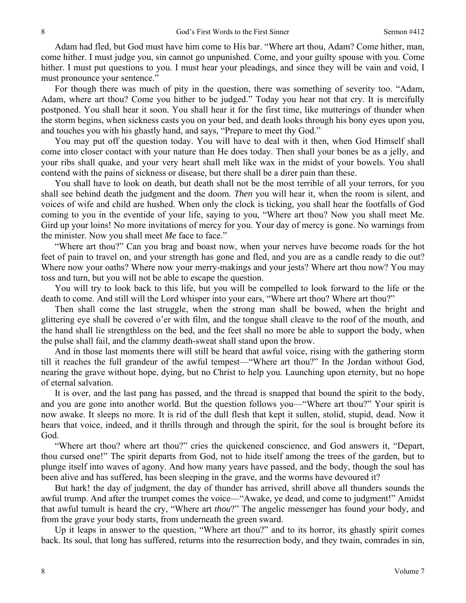Adam had fled, but God must have him come to His bar. "Where art thou, Adam? Come hither, man, come hither. I must judge you, sin cannot go unpunished. Come, and your guilty spouse with you. Come hither. I must put questions to you. I must hear your pleadings, and since they will be vain and void, I must pronounce your sentence."

For though there was much of pity in the question, there was something of severity too. "Adam, Adam, where art thou? Come you hither to be judged." Today you hear not that cry. It is mercifully postponed. You shall hear it soon. You shall hear it for the first time, like mutterings of thunder when the storm begins, when sickness casts you on your bed, and death looks through his bony eyes upon you, and touches you with his ghastly hand, and says, "Prepare to meet thy God."

You may put off the question today. You will have to deal with it then, when God Himself shall come into closer contact with your nature than He does today. Then shall your bones be as a jelly, and your ribs shall quake, and your very heart shall melt like wax in the midst of your bowels. You shall contend with the pains of sickness or disease, but there shall be a direr pain than these.

You shall have to look on death, but death shall not be the most terrible of all your terrors, for you shall see behind death the judgment and the doom*. Then* you will hear it, when the room is silent, and voices of wife and child are hushed. When only the clock is ticking, you shall hear the footfalls of God coming to you in the eventide of your life, saying to you, "Where art thou? Now you shall meet Me. Gird up your loins! No more invitations of mercy for you. Your day of mercy is gone. No warnings from the minister. Now you shall meet *Me* face to face."

"Where art thou?" Can you brag and boast now, when your nerves have become roads for the hot feet of pain to travel on, and your strength has gone and fled, and you are as a candle ready to die out? Where now your oaths? Where now your merry-makings and your jests? Where art thou now? You may toss and turn, but you will not be able to escape the question.

You will try to look back to this life, but you will be compelled to look forward to the life or the death to come. And still will the Lord whisper into your ears, "Where art thou? Where art thou?"

Then shall come the last struggle, when the strong man shall be bowed, when the bright and glittering eye shall be covered o'er with film, and the tongue shall cleave to the roof of the mouth, and the hand shall lie strengthless on the bed, and the feet shall no more be able to support the body, when the pulse shall fail, and the clammy death-sweat shall stand upon the brow.

And in those last moments there will still be heard that awful voice, rising with the gathering storm till it reaches the full grandeur of the awful tempest—"Where art thou?" In the Jordan without God, nearing the grave without hope, dying, but no Christ to help you. Launching upon eternity, but no hope of eternal salvation.

It is over, and the last pang has passed, and the thread is snapped that bound the spirit to the body, and you are gone into another world. But the question follows you—"Where art thou?" Your spirit is now awake. It sleeps no more. It is rid of the dull flesh that kept it sullen, stolid, stupid, dead. Now it hears that voice, indeed, and it thrills through and through the spirit, for the soul is brought before its God.

"Where art thou? where art thou?" cries the quickened conscience, and God answers it, "Depart, thou cursed one!" The spirit departs from God, not to hide itself among the trees of the garden, but to plunge itself into waves of agony. And how many years have passed, and the body, though the soul has been alive and has suffered, has been sleeping in the grave, and the worms have devoured it?

But hark! the day of judgment, the day of thunder has arrived, shrill above all thunders sounds the awful trump. And after the trumpet comes the voice—"Awake, ye dead, and come to judgment!" Amidst that awful tumult is heard the cry, "Where art *thou*?" The angelic messenger has found *your* body, and from the grave your body starts, from underneath the green sward.

Up it leaps in answer to the question, "Where art thou?" and to its horror, its ghastly spirit comes back. Its soul, that long has suffered, returns into the resurrection body, and they twain, comrades in sin,